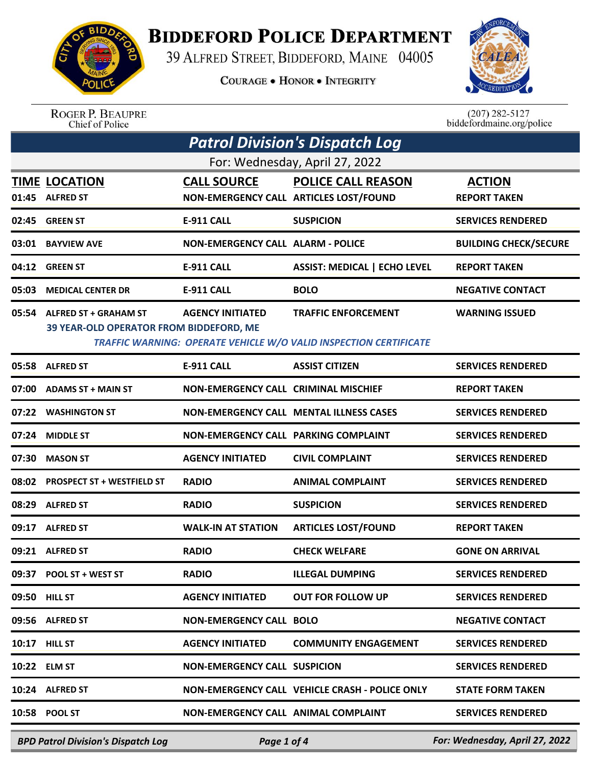

## **BIDDEFORD POLICE DEPARTMENT**

39 ALFRED STREET, BIDDEFORD, MAINE 04005

**COURAGE . HONOR . INTEGRITY** 



ROGER P. BEAUPRE<br>Chief of Police

 $(207)$  282-5127 biddefordmaine.org/police

| <b>Patrol Division's Dispatch Log</b> |                                           |                                          |                                                                   |                                |  |  |  |  |
|---------------------------------------|-------------------------------------------|------------------------------------------|-------------------------------------------------------------------|--------------------------------|--|--|--|--|
| For: Wednesday, April 27, 2022        |                                           |                                          |                                                                   |                                |  |  |  |  |
|                                       | <b>TIME LOCATION</b>                      | <b>CALL SOURCE</b>                       | <b>POLICE CALL REASON</b>                                         | <b>ACTION</b>                  |  |  |  |  |
| 01:45                                 | <b>ALFRED ST</b>                          |                                          | NON-EMERGENCY CALL ARTICLES LOST/FOUND                            | <b>REPORT TAKEN</b>            |  |  |  |  |
| 02:45                                 | <b>GREEN ST</b>                           | <b>E-911 CALL</b>                        | <b>SUSPICION</b>                                                  | <b>SERVICES RENDERED</b>       |  |  |  |  |
| 03:01                                 | <b>BAYVIEW AVE</b>                        | <b>NON-EMERGENCY CALL ALARM - POLICE</b> |                                                                   | <b>BUILDING CHECK/SECURE</b>   |  |  |  |  |
| 04:12                                 | <b>GREEN ST</b>                           | <b>E-911 CALL</b>                        | <b>ASSIST: MEDICAL   ECHO LEVEL</b>                               | <b>REPORT TAKEN</b>            |  |  |  |  |
| 05:03                                 | <b>MEDICAL CENTER DR</b>                  | <b>E-911 CALL</b>                        | <b>BOLO</b>                                                       | <b>NEGATIVE CONTACT</b>        |  |  |  |  |
| 05:54                                 | <b>ALFRED ST + GRAHAM ST</b>              | <b>AGENCY INITIATED</b>                  | <b>TRAFFIC ENFORCEMENT</b>                                        | <b>WARNING ISSUED</b>          |  |  |  |  |
|                                       | 39 YEAR-OLD OPERATOR FROM BIDDEFORD, ME   |                                          | TRAFFIC WARNING: OPERATE VEHICLE W/O VALID INSPECTION CERTIFICATE |                                |  |  |  |  |
|                                       | 05:58 ALFRED ST                           | E-911 CALL                               | <b>ASSIST CITIZEN</b>                                             | <b>SERVICES RENDERED</b>       |  |  |  |  |
| 07:00                                 | <b>ADAMS ST + MAIN ST</b>                 | NON-EMERGENCY CALL CRIMINAL MISCHIEF     |                                                                   | <b>REPORT TAKEN</b>            |  |  |  |  |
| 07:22                                 | <b>WASHINGTON ST</b>                      |                                          | NON-EMERGENCY CALL MENTAL ILLNESS CASES                           | <b>SERVICES RENDERED</b>       |  |  |  |  |
| 07:24                                 | <b>MIDDLE ST</b>                          | NON-EMERGENCY CALL PARKING COMPLAINT     |                                                                   | <b>SERVICES RENDERED</b>       |  |  |  |  |
| 07:30                                 | <b>MASON ST</b>                           | <b>AGENCY INITIATED</b>                  | <b>CIVIL COMPLAINT</b>                                            | <b>SERVICES RENDERED</b>       |  |  |  |  |
| 08:02                                 | <b>PROSPECT ST + WESTFIELD ST</b>         | <b>RADIO</b>                             | <b>ANIMAL COMPLAINT</b>                                           | <b>SERVICES RENDERED</b>       |  |  |  |  |
| 08:29                                 | <b>ALFRED ST</b>                          | <b>RADIO</b>                             | <b>SUSPICION</b>                                                  | <b>SERVICES RENDERED</b>       |  |  |  |  |
| 09:17                                 | <b>ALFRED ST</b>                          | <b>WALK-IN AT STATION</b>                | <b>ARTICLES LOST/FOUND</b>                                        | <b>REPORT TAKEN</b>            |  |  |  |  |
| 09:21                                 | <b>ALFRED ST</b>                          | <b>RADIO</b>                             | <b>CHECK WELFARE</b>                                              | <b>GONE ON ARRIVAL</b>         |  |  |  |  |
| 09:37                                 | POOL ST + WEST ST                         | <b>RADIO</b>                             | <b>ILLEGAL DUMPING</b>                                            | <b>SERVICES RENDERED</b>       |  |  |  |  |
|                                       | 09:50 HILL ST                             | <b>AGENCY INITIATED</b>                  | <b>OUT FOR FOLLOW UP</b>                                          | <b>SERVICES RENDERED</b>       |  |  |  |  |
|                                       | 09:56 ALFRED ST                           | <b>NON-EMERGENCY CALL BOLO</b>           |                                                                   | <b>NEGATIVE CONTACT</b>        |  |  |  |  |
| 10:17                                 | <b>HILL ST</b>                            | <b>AGENCY INITIATED</b>                  | <b>COMMUNITY ENGAGEMENT</b>                                       | <b>SERVICES RENDERED</b>       |  |  |  |  |
|                                       | 10:22 ELM ST                              | <b>NON-EMERGENCY CALL SUSPICION</b>      |                                                                   | <b>SERVICES RENDERED</b>       |  |  |  |  |
| 10:24                                 | <b>ALFRED ST</b>                          |                                          | NON-EMERGENCY CALL VEHICLE CRASH - POLICE ONLY                    | <b>STATE FORM TAKEN</b>        |  |  |  |  |
|                                       | 10:58 POOL ST                             | NON-EMERGENCY CALL ANIMAL COMPLAINT      |                                                                   | <b>SERVICES RENDERED</b>       |  |  |  |  |
|                                       | <b>BPD Patrol Division's Dispatch Log</b> | Page 1 of 4                              |                                                                   | For: Wednesday, April 27, 2022 |  |  |  |  |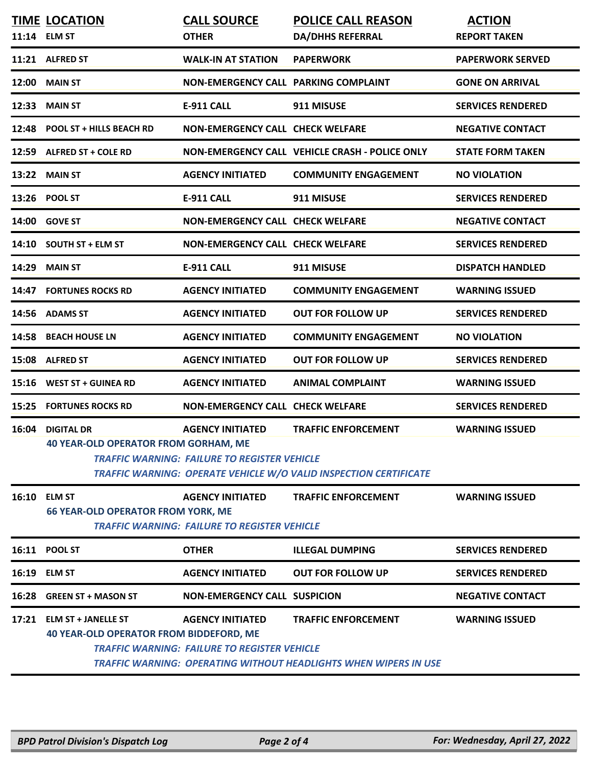|       | <b>TIME LOCATION</b><br>11:14 ELM ST                                        | <b>CALL SOURCE</b><br><b>OTHER</b>                                             | <b>POLICE CALL REASON</b><br><b>DA/DHHS REFERRAL</b>                                                   | <b>ACTION</b><br><b>REPORT TAKEN</b> |
|-------|-----------------------------------------------------------------------------|--------------------------------------------------------------------------------|--------------------------------------------------------------------------------------------------------|--------------------------------------|
|       | 11:21 ALFRED ST                                                             | <b>WALK-IN AT STATION</b>                                                      | <b>PAPERWORK</b>                                                                                       | <b>PAPERWORK SERVED</b>              |
| 12:00 | <b>MAIN ST</b>                                                              | <b>NON-EMERGENCY CALL PARKING COMPLAINT</b>                                    |                                                                                                        | <b>GONE ON ARRIVAL</b>               |
| 12:33 | <b>MAIN ST</b>                                                              | <b>E-911 CALL</b>                                                              | 911 MISUSE                                                                                             | <b>SERVICES RENDERED</b>             |
| 12:48 | <b>POOL ST + HILLS BEACH RD</b>                                             | <b>NON-EMERGENCY CALL CHECK WELFARE</b>                                        |                                                                                                        | <b>NEGATIVE CONTACT</b>              |
| 12:59 | ALFRED ST + COLE RD                                                         |                                                                                | NON-EMERGENCY CALL VEHICLE CRASH - POLICE ONLY                                                         | <b>STATE FORM TAKEN</b>              |
| 13:22 | <b>MAIN ST</b>                                                              | <b>AGENCY INITIATED</b>                                                        | <b>COMMUNITY ENGAGEMENT</b>                                                                            | <b>NO VIOLATION</b>                  |
| 13:26 | <b>POOL ST</b>                                                              | <b>E-911 CALL</b>                                                              | 911 MISUSE                                                                                             | <b>SERVICES RENDERED</b>             |
| 14:00 | <b>GOVE ST</b>                                                              | <b>NON-EMERGENCY CALL CHECK WELFARE</b>                                        |                                                                                                        | <b>NEGATIVE CONTACT</b>              |
| 14:10 | <b>SOUTH ST + ELM ST</b>                                                    | <b>NON-EMERGENCY CALL CHECK WELFARE</b>                                        |                                                                                                        | <b>SERVICES RENDERED</b>             |
| 14:29 | <b>MAIN ST</b>                                                              | <b>E-911 CALL</b>                                                              | 911 MISUSE                                                                                             | <b>DISPATCH HANDLED</b>              |
| 14:47 | <b>FORTUNES ROCKS RD</b>                                                    | <b>AGENCY INITIATED</b>                                                        | <b>COMMUNITY ENGAGEMENT</b>                                                                            | <b>WARNING ISSUED</b>                |
| 14:56 | <b>ADAMS ST</b>                                                             | <b>AGENCY INITIATED</b>                                                        | <b>OUT FOR FOLLOW UP</b>                                                                               | <b>SERVICES RENDERED</b>             |
| 14:58 | <b>BEACH HOUSE LN</b>                                                       | <b>AGENCY INITIATED</b>                                                        | <b>COMMUNITY ENGAGEMENT</b>                                                                            | <b>NO VIOLATION</b>                  |
| 15:08 | <b>ALFRED ST</b>                                                            | <b>AGENCY INITIATED</b>                                                        | <b>OUT FOR FOLLOW UP</b>                                                                               | <b>SERVICES RENDERED</b>             |
| 15:16 | <b>WEST ST + GUINEA RD</b>                                                  | <b>AGENCY INITIATED</b>                                                        | <b>ANIMAL COMPLAINT</b>                                                                                | <b>WARNING ISSUED</b>                |
| 15:25 | <b>FORTUNES ROCKS RD</b>                                                    | <b>NON-EMERGENCY CALL CHECK WELFARE</b>                                        |                                                                                                        | <b>SERVICES RENDERED</b>             |
| 16:04 | <b>DIGITAL DR</b><br><b>40 YEAR-OLD OPERATOR FROM GORHAM, ME</b>            | <b>AGENCY INITIATED</b><br><b>TRAFFIC WARNING: FAILURE TO REGISTER VEHICLE</b> | <b>TRAFFIC ENFORCEMENT</b><br><b>TRAFFIC WARNING: OPERATE VEHICLE W/O VALID INSPECTION CERTIFICATE</b> | <b>WARNING ISSUED</b>                |
|       | 16:10 ELM ST<br><b>66 YEAR-OLD OPERATOR FROM YORK, ME</b>                   | <b>AGENCY INITIATED</b><br><b>TRAFFIC WARNING: FAILURE TO REGISTER VEHICLE</b> | <b>TRAFFIC ENFORCEMENT</b>                                                                             | <b>WARNING ISSUED</b>                |
|       | 16:11 POOL ST                                                               | <b>OTHER</b>                                                                   | <b>ILLEGAL DUMPING</b>                                                                                 | <b>SERVICES RENDERED</b>             |
|       | <b>16:19 ELM ST</b>                                                         | <b>AGENCY INITIATED</b>                                                        | <b>OUT FOR FOLLOW UP</b>                                                                               | <b>SERVICES RENDERED</b>             |
|       | 16:28 GREEN ST + MASON ST                                                   | <b>NON-EMERGENCY CALL SUSPICION</b>                                            |                                                                                                        | <b>NEGATIVE CONTACT</b>              |
|       | 17:21 ELM ST + JANELLE ST<br><b>40 YEAR-OLD OPERATOR FROM BIDDEFORD, ME</b> | <b>AGENCY INITIATED</b><br><b>TRAFFIC WARNING: FAILURE TO REGISTER VEHICLE</b> | <b>TRAFFIC ENFORCEMENT</b><br>TRAFFIC WARNING: OPERATING WITHOUT HEADLIGHTS WHEN WIPERS IN USE         | <b>WARNING ISSUED</b>                |